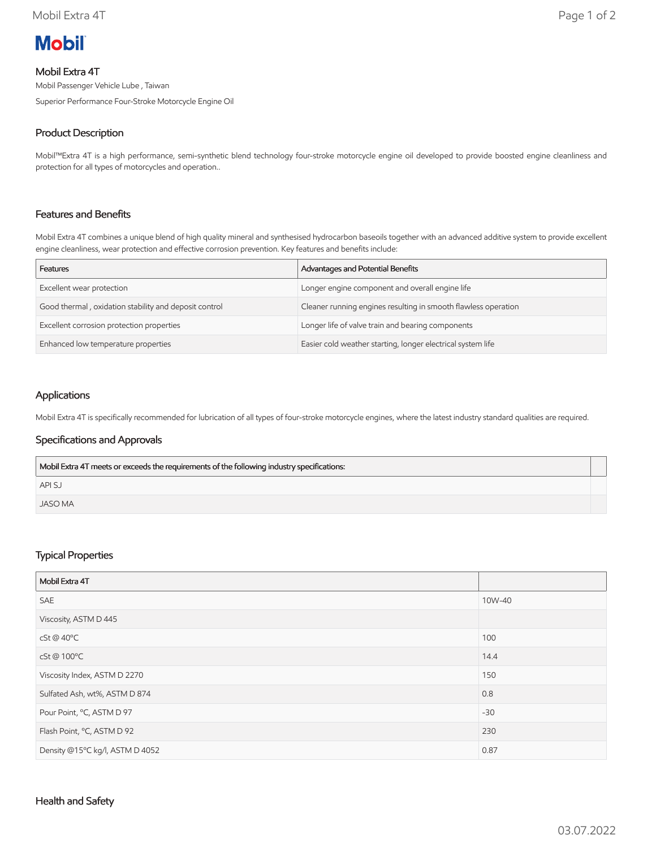

# Mobil Extra 4T

Mobil Passenger Vehicle Lube , Taiwan

Superior Performance Four-Stroke Motorcycle Engine Oil

# Product Description

Mobil™Extra 4T is a high performance, semi-synthetic blend technology four-stroke motorcycle engine oil developed to provide boosted engine cleanliness and protection for all types of motorcycles and operation..

# Features and Benefits

Mobil Extra 4T combines a unique blend of high quality mineral and synthesised hydrocarbon baseoils together with an advanced additive system to provide excellent engine cleanliness, wear protection and effective corrosion prevention. Key features and benefits include:

| Features                                              | Advantages and Potential Benefits                              |
|-------------------------------------------------------|----------------------------------------------------------------|
| Excellent wear protection                             | Longer engine component and overall engine life                |
| Good thermal, oxidation stability and deposit control | Cleaner running engines resulting in smooth flawless operation |
| Excellent corrosion protection properties             | Longer life of valve train and bearing components              |
| Enhanced low temperature properties                   | Easier cold weather starting, longer electrical system life    |

## Applications

Mobil Extra 4T is specifically recommended for lubrication of all types of four-stroke motorcycle engines, where the latest industry standard qualities are required.

### Specifications and Approvals

| Mobil Extra 4T meets or exceeds the requirements of the following industry specifications: |  |
|--------------------------------------------------------------------------------------------|--|
| <b>APISJ</b>                                                                               |  |
| JASO MA                                                                                    |  |

### Typical Properties

| Mobil Extra 4T                  |        |
|---------------------------------|--------|
| <b>SAE</b>                      | 10W-40 |
| Viscosity, ASTM D 445           |        |
| cSt @ 40°C                      | 100    |
| cSt@100°C                       | 14.4   |
| Viscosity Index, ASTM D 2270    | 150    |
| Sulfated Ash, wt%, ASTM D 874   | 0.8    |
| Pour Point, °C, ASTM D 97       | $-30$  |
| Flash Point, °C, ASTM D 92      | 230    |
| Density @15°C kg/l, ASTM D 4052 | 0.87   |